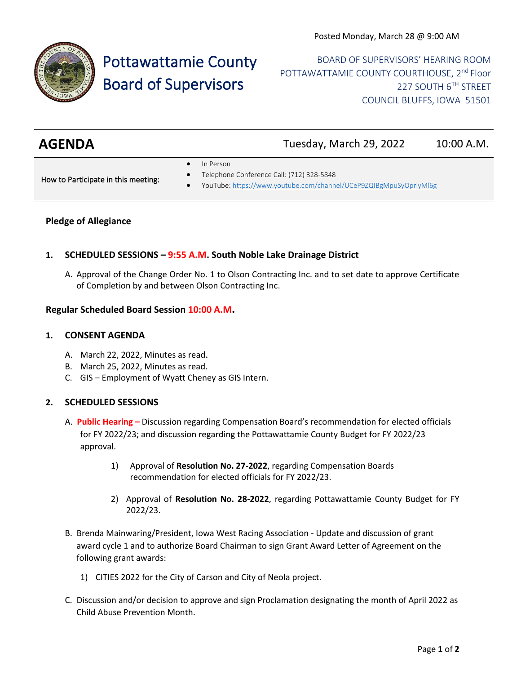

# Pottawattamie County Board of Supervisors

BOARD OF SUPERVISORS' HEARING ROOM POTTAWATTAMIE COUNTY COURTHOUSE, 2<sup>nd</sup> Floor 227 SOUTH 6TH STREET COUNCIL BLUFFS, IOWA 51501

| <b>AGENDA</b> | Tuesday, March 29, 2022 | 10:00 A.M. |
|---------------|-------------------------|------------|
|               |                         |            |

In Person

How to Participate in this meeting:

- Telephone Conference Call: (712) 328-5848
- YouTube[: https://www.youtube.com/channel/UCeP9ZQIBgMpuSyOprlyMl6g](https://www.youtube.com/channel/UCeP9ZQIBgMpuSyOprlyMl6g)

## **Pledge of Allegiance**

# **1. SCHEDULED SESSIONS – 9:55 A.M. South Noble Lake Drainage District**

A. Approval of the Change Order No. 1 to Olson Contracting Inc. and to set date to approve Certificate of Completion by and between Olson Contracting Inc.

## **Regular Scheduled Board Session 10:00 A.M.**

#### **1. CONSENT AGENDA**

- A. March 22, 2022, Minutes as read.
- B. March 25, 2022, Minutes as read.
- C. GIS Employment of Wyatt Cheney as GIS Intern.

#### **2. SCHEDULED SESSIONS**

- A. **Public Hearing –** Discussion regarding Compensation Board's recommendation for elected officials for FY 2022/23; and discussion regarding the Pottawattamie County Budget for FY 2022/23 approval.
	- 1) Approval of **Resolution No. 27-2022**, regarding Compensation Boards recommendation for elected officials for FY 2022/23.
	- 2) Approval of **Resolution No. 28-2022**, regarding Pottawattamie County Budget for FY 2022/23.
- B. Brenda Mainwaring/President, Iowa West Racing Association Update and discussion of grant award cycle 1 and to authorize Board Chairman to sign Grant Award Letter of Agreement on the following grant awards:
	- 1) CITIES 2022 for the City of Carson and City of Neola project.
- C. Discussion and/or decision to approve and sign Proclamation designating the month of April 2022 as Child Abuse Prevention Month.